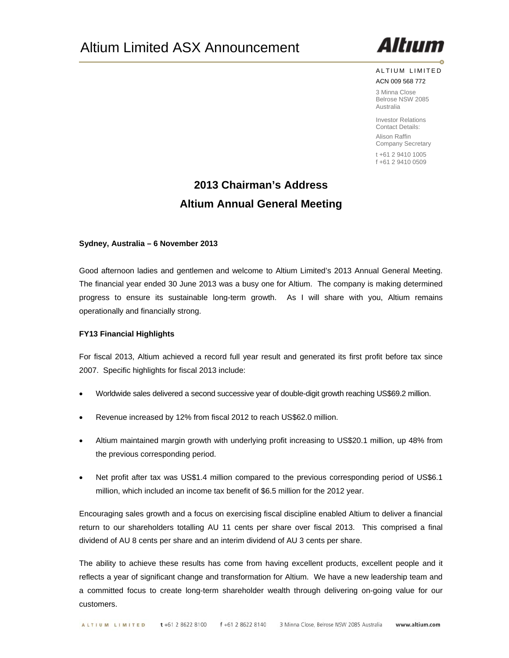

ALTIUM LIMITED ACN 009 568 772

3 Minna Close Belrose NSW 2085 Australia

Investor Relations Contact Details: Alison Raffin Company Secretary t +61 2 9410 1005

f +61 2 9410 0509

# **2013 Chairman's Address Altium Annual General Meeting**

## **Sydney, Australia – 6 November 2013**

Good afternoon ladies and gentlemen and welcome to Altium Limited's 2013 Annual General Meeting. The financial year ended 30 June 2013 was a busy one for Altium. The company is making determined progress to ensure its sustainable long-term growth. As I will share with you, Altium remains operationally and financially strong.

# **FY13 Financial Highlights**

For fiscal 2013, Altium achieved a record full year result and generated its first profit before tax since 2007. Specific highlights for fiscal 2013 include:

- Worldwide sales delivered a second successive year of double-digit growth reaching US\$69.2 million.
- Revenue increased by 12% from fiscal 2012 to reach US\$62.0 million.
- Altium maintained margin growth with underlying profit increasing to US\$20.1 million, up 48% from the previous corresponding period.
- Net profit after tax was US\$1.4 million compared to the previous corresponding period of US\$6.1 million, which included an income tax benefit of \$6.5 million for the 2012 year.

Encouraging sales growth and a focus on exercising fiscal discipline enabled Altium to deliver a financial return to our shareholders totalling AU 11 cents per share over fiscal 2013. This comprised a final dividend of AU 8 cents per share and an interim dividend of AU 3 cents per share.

The ability to achieve these results has come from having excellent products, excellent people and it reflects a year of significant change and transformation for Altium. We have a new leadership team and a committed focus to create long-term shareholder wealth through delivering on-going value for our customers.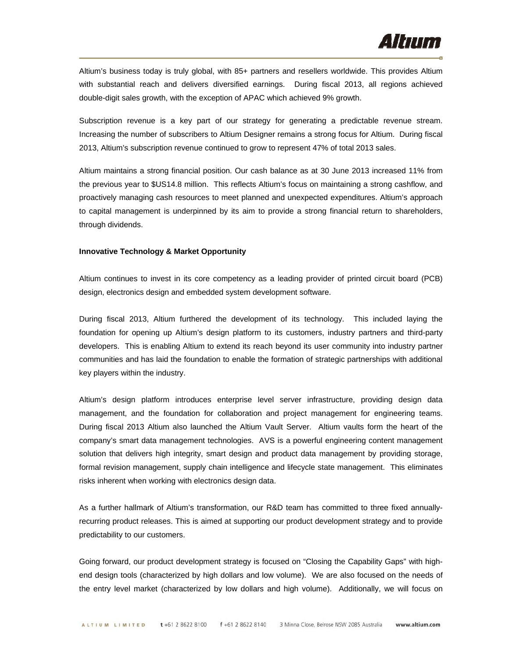

Altium's business today is truly global, with 85+ partners and resellers worldwide. This provides Altium with substantial reach and delivers diversified earnings. During fiscal 2013, all regions achieved double-digit sales growth, with the exception of APAC which achieved 9% growth.

Subscription revenue is a key part of our strategy for generating a predictable revenue stream. Increasing the number of subscribers to Altium Designer remains a strong focus for Altium. During fiscal 2013, Altium's subscription revenue continued to grow to represent 47% of total 2013 sales.

Altium maintains a strong financial position. Our cash balance as at 30 June 2013 increased 11% from the previous year to \$US14.8 million. This reflects Altium's focus on maintaining a strong cashflow, and proactively managing cash resources to meet planned and unexpected expenditures. Altium's approach to capital management is underpinned by its aim to provide a strong financial return to shareholders, through dividends.

#### **Innovative Technology & Market Opportunity**

Altium continues to invest in its core competency as a leading provider of printed circuit board (PCB) design, electronics design and embedded system development software.

During fiscal 2013, Altium furthered the development of its technology. This included laying the foundation for opening up Altium's design platform to its customers, industry partners and third-party developers. This is enabling Altium to extend its reach beyond its user community into industry partner communities and has laid the foundation to enable the formation of strategic partnerships with additional key players within the industry.

Altium's design platform introduces enterprise level server infrastructure, providing design data management, and the foundation for collaboration and project management for engineering teams. During fiscal 2013 Altium also launched the Altium Vault Server. Altium vaults form the heart of the company's smart data management technologies. AVS is a powerful engineering content management solution that delivers high integrity, smart design and product data management by providing storage, formal revision management, supply chain intelligence and lifecycle state management. This eliminates risks inherent when working with electronics design data.

As a further hallmark of Altium's transformation, our R&D team has committed to three fixed annuallyrecurring product releases. This is aimed at supporting our product development strategy and to provide predictability to our customers.

Going forward, our product development strategy is focused on "Closing the Capability Gaps" with highend design tools (characterized by high dollars and low volume). We are also focused on the needs of the entry level market (characterized by low dollars and high volume). Additionally, we will focus on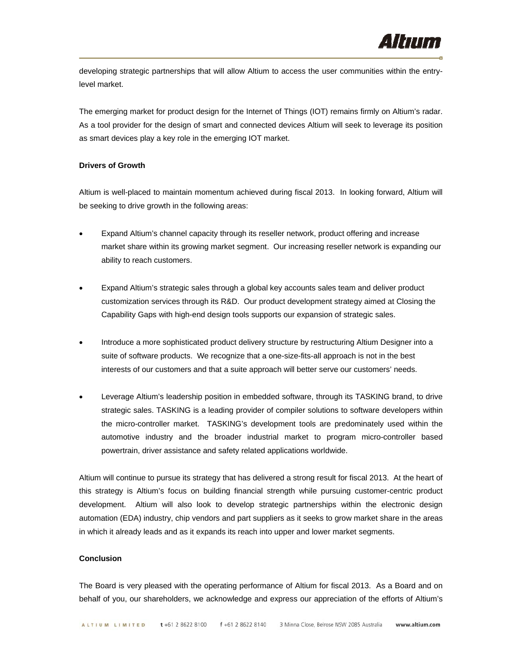developing strategic partnerships that will allow Altium to access the user communities within the entrylevel market.

The emerging market for product design for the Internet of Things (IOT) remains firmly on Altium's radar. As a tool provider for the design of smart and connected devices Altium will seek to leverage its position as smart devices play a key role in the emerging IOT market.

## **Drivers of Growth**

Altium is well-placed to maintain momentum achieved during fiscal 2013. In looking forward, Altium will be seeking to drive growth in the following areas:

- Expand Altium's channel capacity through its reseller network, product offering and increase market share within its growing market segment. Our increasing reseller network is expanding our ability to reach customers.
- Expand Altium's strategic sales through a global key accounts sales team and deliver product customization services through its R&D. Our product development strategy aimed at Closing the Capability Gaps with high-end design tools supports our expansion of strategic sales.
- Introduce a more sophisticated product delivery structure by restructuring Altium Designer into a suite of software products. We recognize that a one-size-fits-all approach is not in the best interests of our customers and that a suite approach will better serve our customers' needs.
- Leverage Altium's leadership position in embedded software, through its TASKING brand, to drive strategic sales. TASKING is a leading provider of compiler solutions to software developers within the micro-controller market. TASKING's development tools are predominately used within the automotive industry and the broader industrial market to program micro-controller based powertrain, driver assistance and safety related applications worldwide.

Altium will continue to pursue its strategy that has delivered a strong result for fiscal 2013. At the heart of this strategy is Altium's focus on building financial strength while pursuing customer-centric product development. Altium will also look to develop strategic partnerships within the electronic design automation (EDA) industry, chip vendors and part suppliers as it seeks to grow market share in the areas in which it already leads and as it expands its reach into upper and lower market segments.

#### **Conclusion**

The Board is very pleased with the operating performance of Altium for fiscal 2013. As a Board and on behalf of you, our shareholders, we acknowledge and express our appreciation of the efforts of Altium's